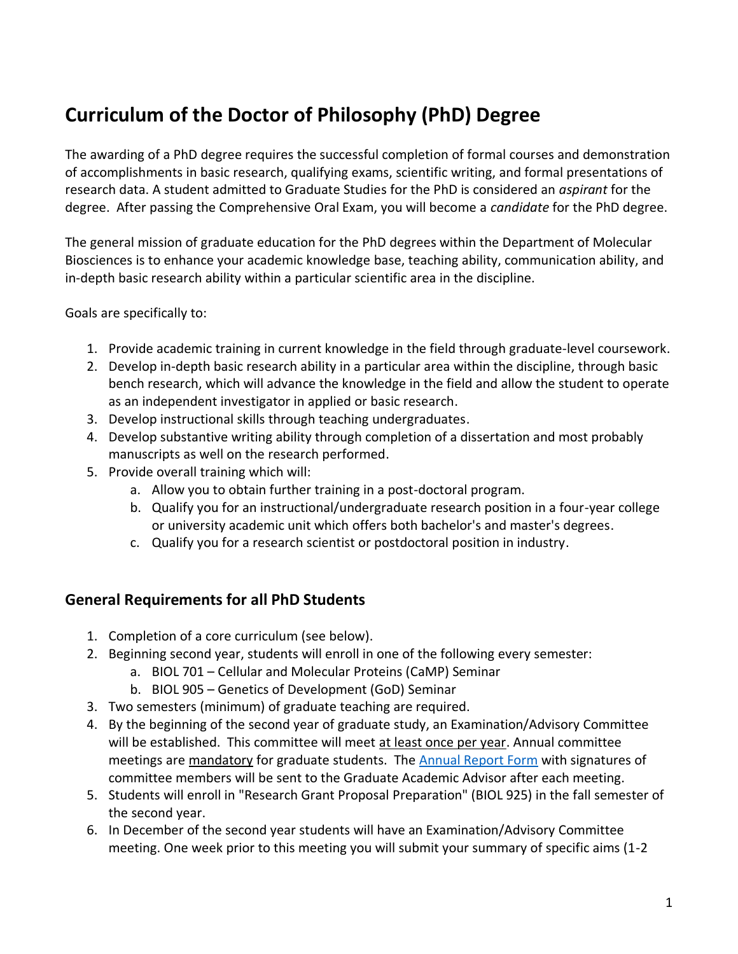# **Curriculum of the Doctor of Philosophy (PhD) Degree**

The awarding of a PhD degree requires the successful completion of formal courses and demonstration of accomplishments in basic research, qualifying exams, scientific writing, and formal presentations of research data. A student admitted to Graduate Studies for the PhD is considered an *aspirant* for the degree. After passing the Comprehensive Oral Exam, you will become a *candidate* for the PhD degree.

The general mission of graduate education for the PhD degrees within the Department of Molecular Biosciences is to enhance your academic knowledge base, teaching ability, communication ability, and in-depth basic research ability within a particular scientific area in the discipline.

Goals are specifically to:

- 1. Provide academic training in current knowledge in the field through graduate-level coursework.
- 2. Develop in-depth basic research ability in a particular area within the discipline, through basic bench research, which will advance the knowledge in the field and allow the student to operate as an independent investigator in applied or basic research.
- 3. Develop instructional skills through teaching undergraduates.
- 4. Develop substantive writing ability through completion of a dissertation and most probably manuscripts as well on the research performed.
- 5. Provide overall training which will:
	- a. Allow you to obtain further training in a post-doctoral program.
	- b. Qualify you for an instructional/undergraduate research position in a four-year college or university academic unit which offers both bachelor's and master's degrees.
	- c. Qualify you for a research scientist or postdoctoral position in industry.

## **General Requirements for all PhD Students**

- 1. Completion of a core curriculum (see below).
- 2. Beginning second year, students will enroll in one of the following every semester:
	- a. BIOL 701 Cellular and Molecular Proteins (CaMP) Seminar
	- b. BIOL 905 Genetics of Development (GoD) Seminar
- 3. Two semesters (minimum) of graduate teaching are required.
- 4. By the beginning of the second year of graduate study, an Examination/Advisory Committee will be established. This committee will meet at least once per year. Annual committee meetings are mandatory for graduate students. The [Annual Report Form](https://molecularbiosciences.ku.edu/current-graduate-students-0) with signatures of committee members will be sent to the Graduate Academic Advisor after each meeting.
- 5. Students will enroll in "Research Grant Proposal Preparation" (BIOL 925) in the fall semester of the second year.
- 6. In December of the second year students will have an Examination/Advisory Committee meeting. One week prior to this meeting you will submit your summary of specific aims (1-2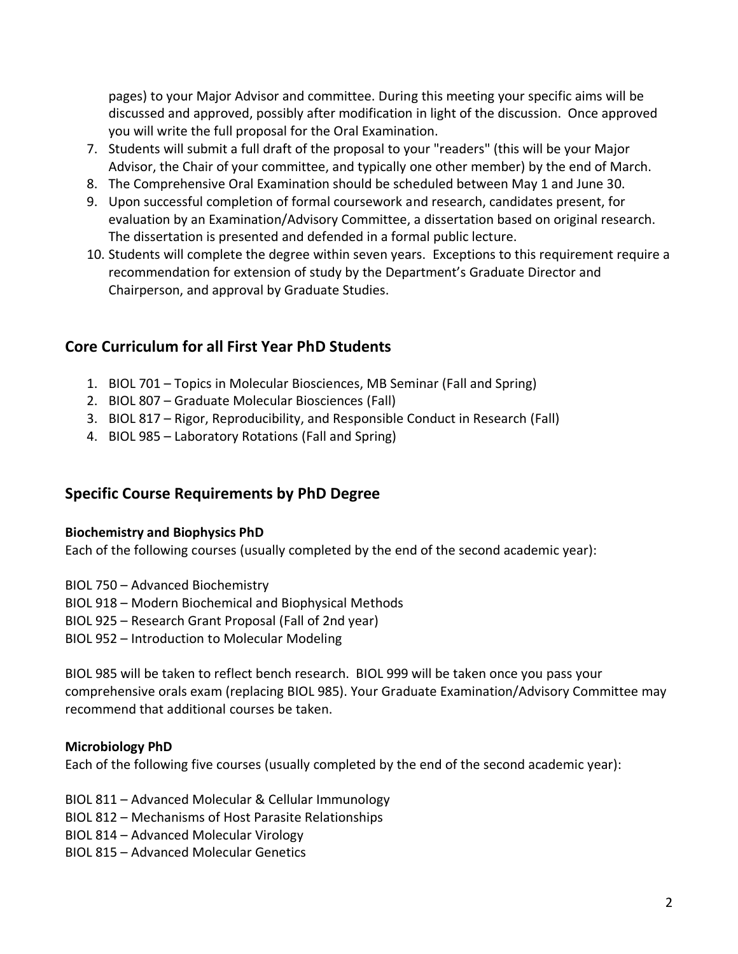pages) to your Major Advisor and committee. During this meeting your specific aims will be discussed and approved, possibly after modification in light of the discussion. Once approved you will write the full proposal for the Oral Examination.

- 7. Students will submit a full draft of the proposal to your "readers" (this will be your Major Advisor, the Chair of your committee, and typically one other member) by the end of March.
- 8. The Comprehensive Oral Examination should be scheduled between May 1 and June 30.
- 9. Upon successful completion of formal coursework and research, candidates present, for evaluation by an Examination/Advisory Committee, a dissertation based on original research. The dissertation is presented and defended in a formal public lecture.
- 10. Students will complete the degree within seven years. Exceptions to this requirement require a recommendation for extension of study by the Department's Graduate Director and Chairperson, and approval by Graduate Studies.

## **Core Curriculum for all First Year PhD Students**

- 1. BIOL 701 Topics in Molecular Biosciences, MB Seminar (Fall and Spring)
- 2. BIOL 807 Graduate Molecular Biosciences (Fall)
- 3. BIOL 817 Rigor, Reproducibility, and Responsible Conduct in Research (Fall)
- 4. BIOL 985 Laboratory Rotations (Fall and Spring)

## **Specific Course Requirements by PhD Degree**

#### **Biochemistry and Biophysics PhD**

Each of the following courses (usually completed by the end of the second academic year):

BIOL 750 – Advanced Biochemistry

BIOL 918 – Modern Biochemical and Biophysical Methods

BIOL 925 – Research Grant Proposal (Fall of 2nd year)

BIOL 952 – Introduction to Molecular Modeling

BIOL 985 will be taken to reflect bench research. BIOL 999 will be taken once you pass your comprehensive orals exam (replacing BIOL 985). Your Graduate Examination/Advisory Committee may recommend that additional courses be taken.

## **Microbiology PhD**

Each of the following five courses (usually completed by the end of the second academic year):

- BIOL 811 Advanced Molecular & Cellular Immunology
- BIOL 812 Mechanisms of Host Parasite Relationships
- BIOL 814 Advanced Molecular Virology
- BIOL 815 Advanced Molecular Genetics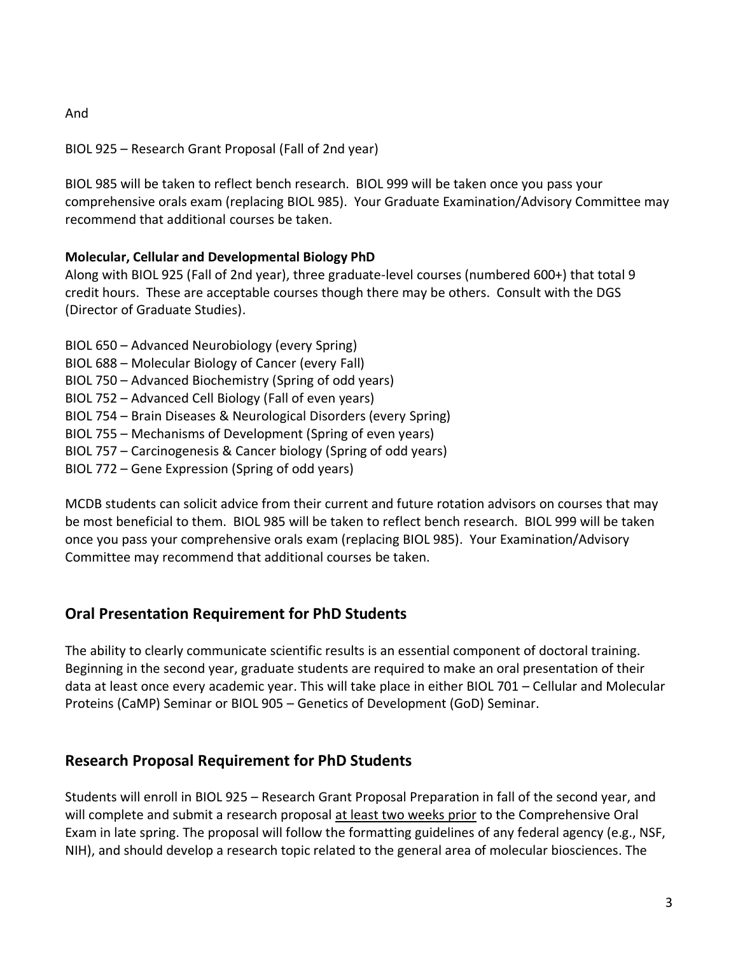And

BIOL 925 – Research Grant Proposal (Fall of 2nd year)

BIOL 985 will be taken to reflect bench research. BIOL 999 will be taken once you pass your comprehensive orals exam (replacing BIOL 985). Your Graduate Examination/Advisory Committee may recommend that additional courses be taken.

## **Molecular, Cellular and Developmental Biology PhD**

Along with BIOL 925 (Fall of 2nd year), three graduate-level courses (numbered 600+) that total 9 credit hours. These are acceptable courses though there may be others. Consult with the DGS (Director of Graduate Studies).

- BIOL 650 Advanced Neurobiology (every Spring)
- BIOL 688 Molecular Biology of Cancer (every Fall)
- BIOL 750 Advanced Biochemistry (Spring of odd years)
- BIOL 752 Advanced Cell Biology (Fall of even years)
- BIOL 754 Brain Diseases & Neurological Disorders (every Spring)
- BIOL 755 Mechanisms of Development (Spring of even years)
- BIOL 757 Carcinogenesis & Cancer biology (Spring of odd years)
- BIOL 772 Gene Expression (Spring of odd years)

MCDB students can solicit advice from their current and future rotation advisors on courses that may be most beneficial to them. BIOL 985 will be taken to reflect bench research. BIOL 999 will be taken once you pass your comprehensive orals exam (replacing BIOL 985). Your Examination/Advisory Committee may recommend that additional courses be taken.

# **Oral Presentation Requirement for PhD Students**

The ability to clearly communicate scientific results is an essential component of doctoral training. Beginning in the second year, graduate students are required to make an oral presentation of their data at least once every academic year. This will take place in either BIOL 701 – Cellular and Molecular Proteins (CaMP) Seminar or BIOL 905 – Genetics of Development (GoD) Seminar.

# **Research Proposal Requirement for PhD Students**

Students will enroll in BIOL 925 – Research Grant Proposal Preparation in fall of the second year, and will complete and submit a research proposal at least two weeks prior to the Comprehensive Oral Exam in late spring. The proposal will follow the formatting guidelines of any federal agency (e.g., NSF, NIH), and should develop a research topic related to the general area of molecular biosciences. The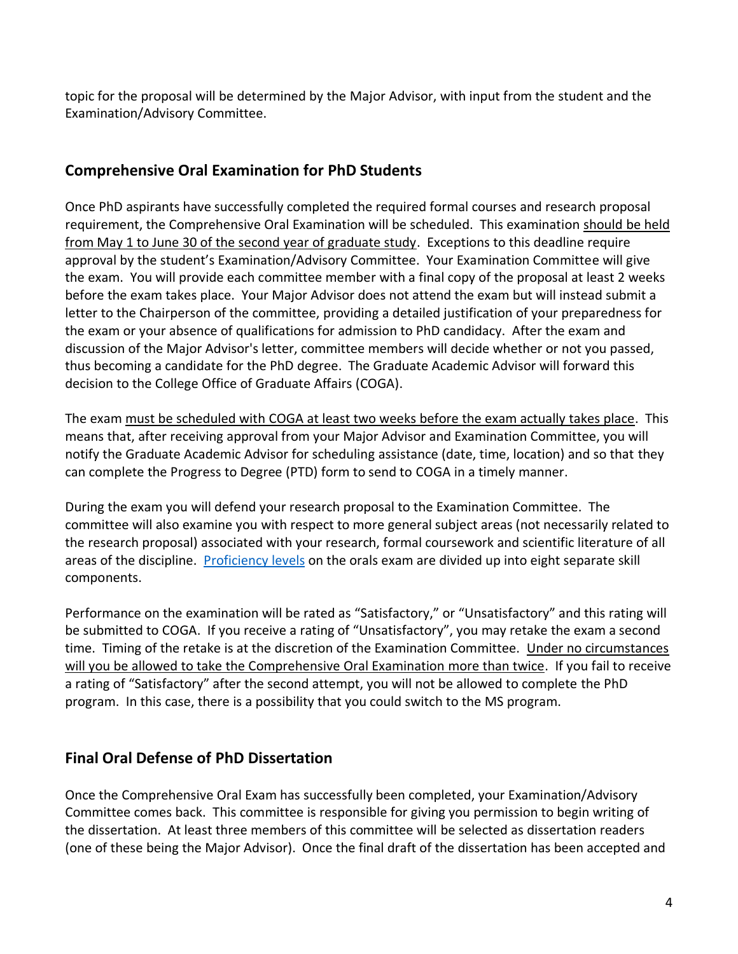topic for the proposal will be determined by the Major Advisor, with input from the student and the Examination/Advisory Committee.

## **Comprehensive Oral Examination for PhD Students**

Once PhD aspirants have successfully completed the required formal courses and research proposal requirement, the Comprehensive Oral Examination will be scheduled. This examination should be held from May 1 to June 30 of the second year of graduate study. Exceptions to this deadline require approval by the student's Examination/Advisory Committee. Your Examination Committee will give the exam. You will provide each committee member with a final copy of the proposal at least 2 weeks before the exam takes place. Your Major Advisor does not attend the exam but will instead submit a letter to the Chairperson of the committee, providing a detailed justification of your preparedness for the exam or your absence of qualifications for admission to PhD candidacy. After the exam and discussion of the Major Advisor's letter, committee members will decide whether or not you passed, thus becoming a candidate for the PhD degree. The Graduate Academic Advisor will forward this decision to the College Office of Graduate Affairs (COGA).

The exam must be scheduled with COGA at least two weeks before the exam actually takes place. This means that, after receiving approval from your Major Advisor and Examination Committee, you will notify the Graduate Academic Advisor for scheduling assistance (date, time, location) and so that they can complete the Progress to Degree (PTD) form to send to COGA in a timely manner.

During the exam you will defend your research proposal to the Examination Committee. The committee will also examine you with respect to more general subject areas (not necessarily related to the research proposal) associated with your research, formal coursework and scientific literature of all areas of the discipline. [Proficiency levels](https://molecularbiosciences.ku.edu/current-graduate-students-0) on the orals exam are divided up into eight separate skill components.

Performance on the examination will be rated as "Satisfactory," or "Unsatisfactory" and this rating will be submitted to COGA. If you receive a rating of "Unsatisfactory", you may retake the exam a second time. Timing of the retake is at the discretion of the Examination Committee. Under no circumstances will you be allowed to take the Comprehensive Oral Examination more than twice. If you fail to receive a rating of "Satisfactory" after the second attempt, you will not be allowed to complete the PhD program. In this case, there is a possibility that you could switch to the MS program.

# **Final Oral Defense of PhD Dissertation**

Once the Comprehensive Oral Exam has successfully been completed, your Examination/Advisory Committee comes back. This committee is responsible for giving you permission to begin writing of the dissertation. At least three members of this committee will be selected as dissertation readers (one of these being the Major Advisor). Once the final draft of the dissertation has been accepted and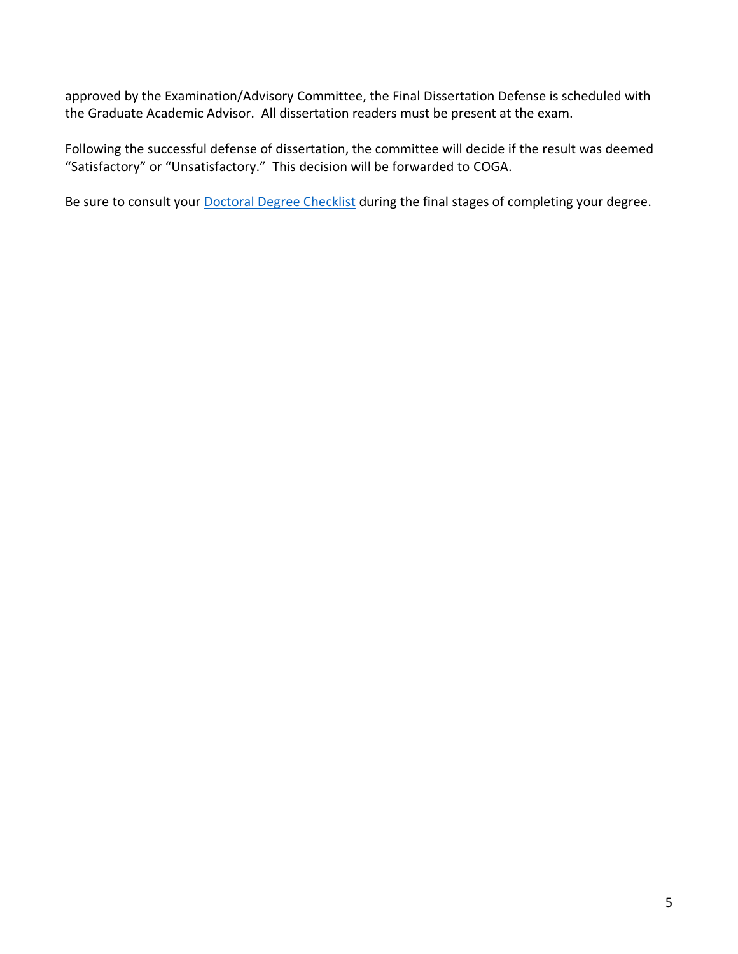approved by the Examination/Advisory Committee, the Final Dissertation Defense is scheduled with the Graduate Academic Advisor. All dissertation readers must be present at the exam.

Following the successful defense of dissertation, the committee will decide if the result was deemed "Satisfactory" or "Unsatisfactory." This decision will be forwarded to COGA.

Be sure to consult your **[Doctoral Degree Checklist](https://coga.ku.edu/graduation/doctoral-degree-checklist)** during the final stages of completing your degree.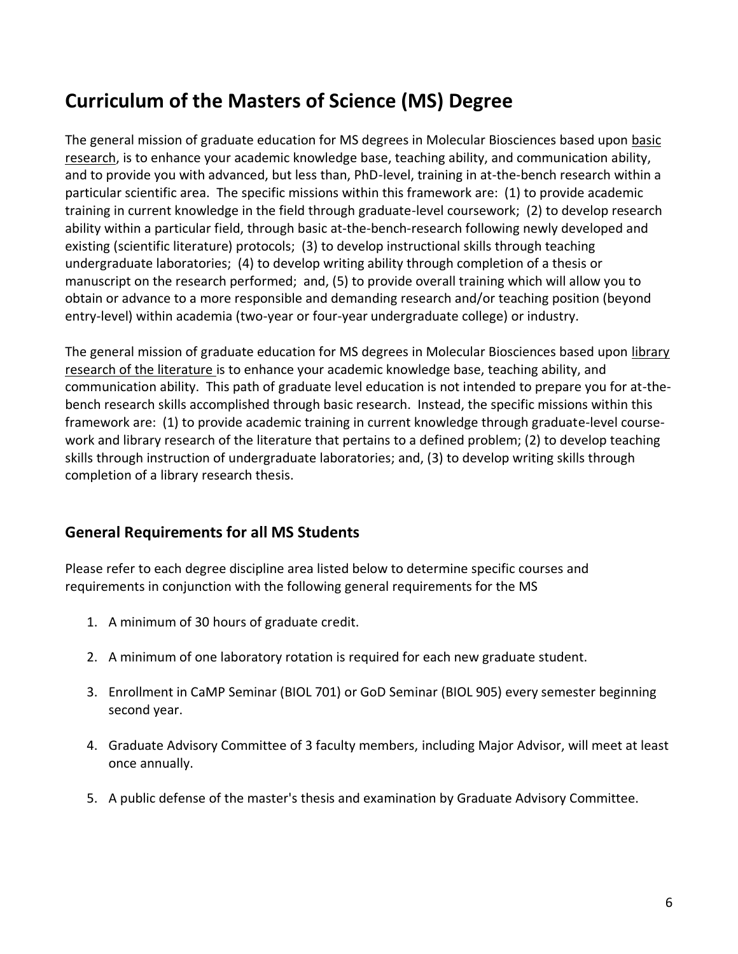# **Curriculum of the Masters of Science (MS) Degree**

The general mission of graduate education for MS degrees in Molecular Biosciences based upon basic research, is to enhance your academic knowledge base, teaching ability, and communication ability, and to provide you with advanced, but less than, PhD-level, training in at-the-bench research within a particular scientific area. The specific missions within this framework are: (1) to provide academic training in current knowledge in the field through graduate-level coursework; (2) to develop research ability within a particular field, through basic at-the-bench-research following newly developed and existing (scientific literature) protocols; (3) to develop instructional skills through teaching undergraduate laboratories; (4) to develop writing ability through completion of a thesis or manuscript on the research performed; and, (5) to provide overall training which will allow you to obtain or advance to a more responsible and demanding research and/or teaching position (beyond entry-level) within academia (two-year or four-year undergraduate college) or industry.

The general mission of graduate education for MS degrees in Molecular Biosciences based upon library research of the literature is to enhance your academic knowledge base, teaching ability, and communication ability. This path of graduate level education is not intended to prepare you for at-thebench research skills accomplished through basic research. Instead, the specific missions within this framework are: (1) to provide academic training in current knowledge through graduate-level coursework and library research of the literature that pertains to a defined problem; (2) to develop teaching skills through instruction of undergraduate laboratories; and, (3) to develop writing skills through completion of a library research thesis.

## **General Requirements for all MS Students**

Please refer to each degree discipline area listed below to determine specific courses and requirements in conjunction with the following general requirements for the MS

- 1. A minimum of 30 hours of graduate credit.
- 2. A minimum of one laboratory rotation is required for each new graduate student.
- 3. Enrollment in CaMP Seminar (BIOL 701) or GoD Seminar (BIOL 905) every semester beginning second year.
- 4. Graduate Advisory Committee of 3 faculty members, including Major Advisor, will meet at least once annually.
- 5. A public defense of the master's thesis and examination by Graduate Advisory Committee.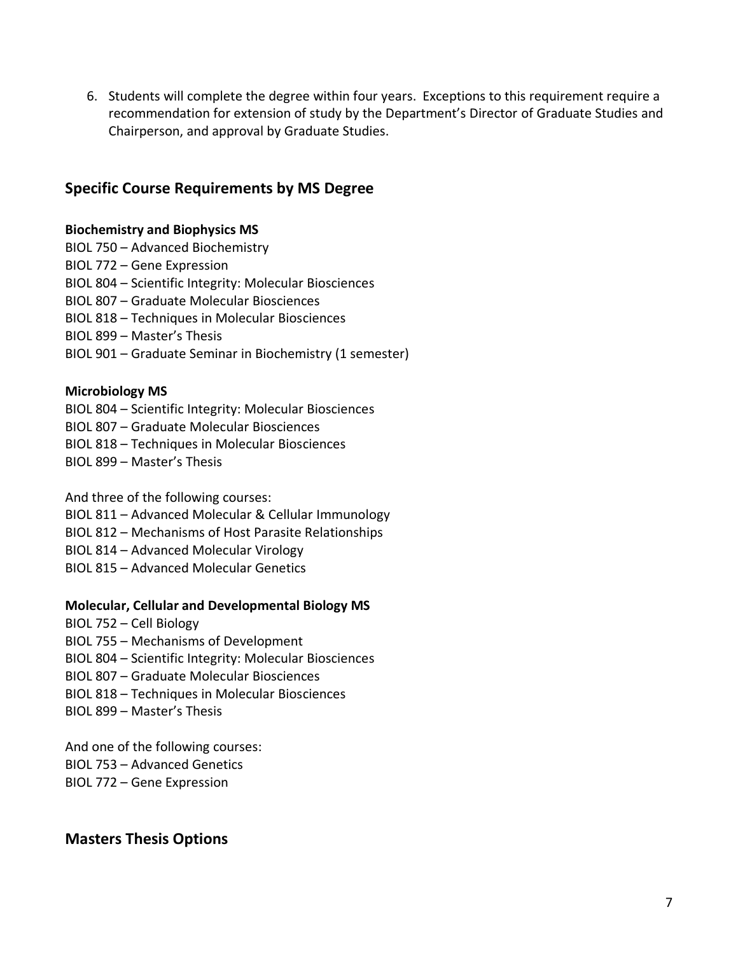6. Students will complete the degree within four years. Exceptions to this requirement require a recommendation for extension of study by the Department's Director of Graduate Studies and Chairperson, and approval by Graduate Studies.

## **Specific Course Requirements by MS Degree**

#### **Biochemistry and Biophysics MS**

- BIOL 750 Advanced Biochemistry
- BIOL 772 Gene Expression
- BIOL 804 Scientific Integrity: Molecular Biosciences
- BIOL 807 Graduate Molecular Biosciences
- BIOL 818 Techniques in Molecular Biosciences
- BIOL 899 Master's Thesis
- BIOL 901 Graduate Seminar in Biochemistry (1 semester)

#### **Microbiology MS**

- BIOL 804 Scientific Integrity: Molecular Biosciences
- BIOL 807 Graduate Molecular Biosciences
- BIOL 818 Techniques in Molecular Biosciences
- BIOL 899 Master's Thesis

And three of the following courses:

- BIOL 811 Advanced Molecular & Cellular Immunology
- BIOL 812 Mechanisms of Host Parasite Relationships
- BIOL 814 Advanced Molecular Virology
- BIOL 815 Advanced Molecular Genetics

#### **Molecular, Cellular and Developmental Biology MS**

- BIOL 752 Cell Biology
- BIOL 755 Mechanisms of Development
- BIOL 804 Scientific Integrity: Molecular Biosciences
- BIOL 807 Graduate Molecular Biosciences
- BIOL 818 Techniques in Molecular Biosciences
- BIOL 899 Master's Thesis

And one of the following courses: BIOL 753 – Advanced Genetics BIOL 772 – Gene Expression

# **Masters Thesis Options**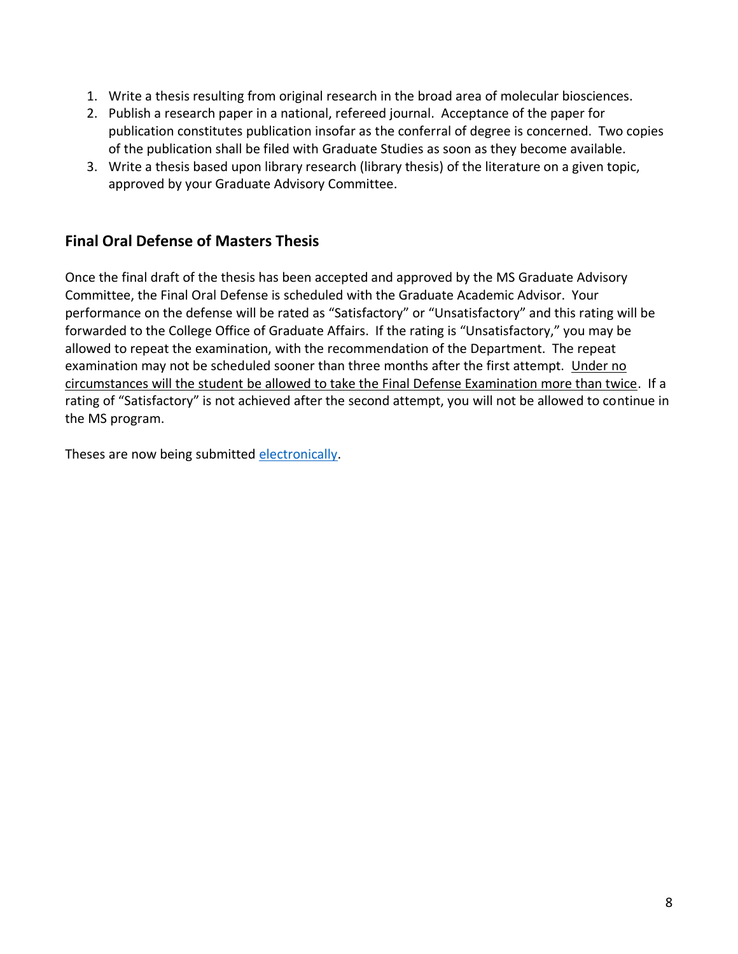- 1. Write a thesis resulting from original research in the broad area of molecular biosciences.
- 2. Publish a research paper in a national, refereed journal. Acceptance of the paper for publication constitutes publication insofar as the conferral of degree is concerned. Two copies of the publication shall be filed with Graduate Studies as soon as they become available.
- 3. Write a thesis based upon library research (library thesis) of the literature on a given topic, approved by your Graduate Advisory Committee.

## **Final Oral Defense of Masters Thesis**

Once the final draft of the thesis has been accepted and approved by the MS Graduate Advisory Committee, the Final Oral Defense is scheduled with the Graduate Academic Advisor. Your performance on the defense will be rated as "Satisfactory" or "Unsatisfactory" and this rating will be forwarded to the College Office of Graduate Affairs. If the rating is "Unsatisfactory," you may be allowed to repeat the examination, with the recommendation of the Department. The repeat examination may not be scheduled sooner than three months after the first attempt. Under no circumstances will the student be allowed to take the Final Defense Examination more than twice. If a rating of "Satisfactory" is not achieved after the second attempt, you will not be allowed to continue in the MS program.

Theses are now being submitted [electronically.](http://graduate.ku.edu/electronic-thesis-and-dissertation)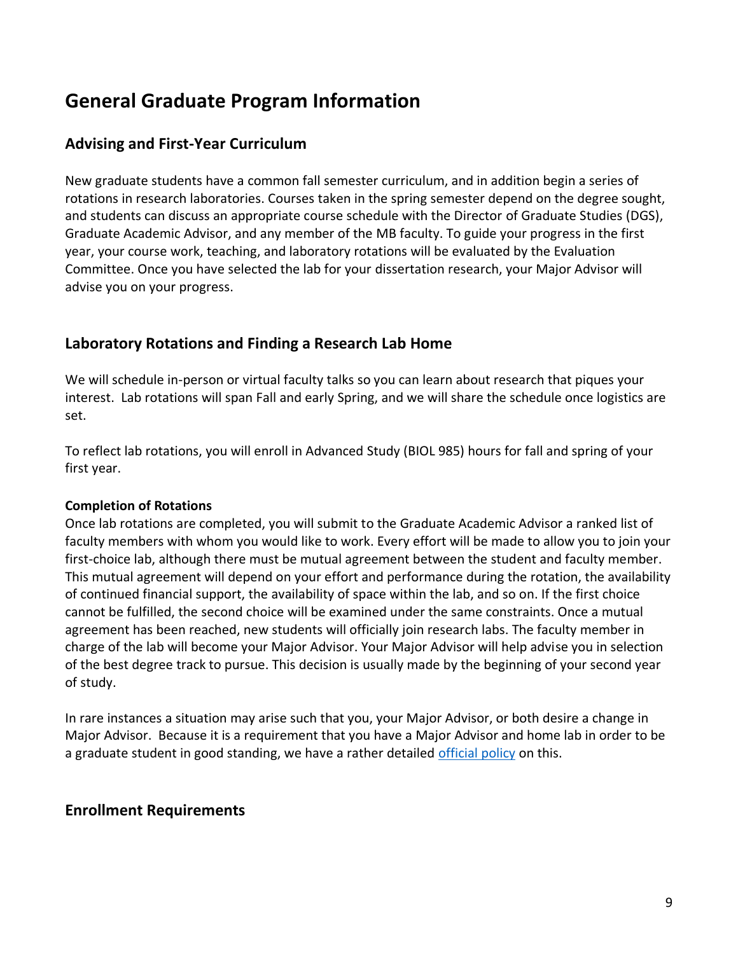# **General Graduate Program Information**

## **Advising and First-Year Curriculum**

New graduate students have a common fall semester curriculum, and in addition begin a series of rotations in research laboratories. Courses taken in the spring semester depend on the degree sought, and students can discuss an appropriate course schedule with the Director of Graduate Studies (DGS), Graduate Academic Advisor, and any member of the MB faculty. To guide your progress in the first year, your course work, teaching, and laboratory rotations will be evaluated by the Evaluation Committee. Once you have selected the lab for your dissertation research, your Major Advisor will advise you on your progress.

## **Laboratory Rotations and Finding a Research Lab Home**

We will schedule in-person or virtual faculty talks so you can learn about research that piques your interest. Lab rotations will span Fall and early Spring, and we will share the schedule once logistics are set.

To reflect lab rotations, you will enroll in Advanced Study (BIOL 985) hours for fall and spring of your first year.

#### **Completion of Rotations**

Once lab rotations are completed, you will submit to the Graduate Academic Advisor a ranked list of faculty members with whom you would like to work. Every effort will be made to allow you to join your first-choice lab, although there must be mutual agreement between the student and faculty member. This mutual agreement will depend on your effort and performance during the rotation, the availability of continued financial support, the availability of space within the lab, and so on. If the first choice cannot be fulfilled, the second choice will be examined under the same constraints. Once a mutual agreement has been reached, new students will officially join research labs. The faculty member in charge of the lab will become your Major Advisor. Your Major Advisor will help advise you in selection of the best degree track to pursue. This decision is usually made by the beginning of your second year of study.

In rare instances a situation may arise such that you, your Major Advisor, or both desire a change in Major Advisor. Because it is a requirement that you have a Major Advisor and home lab in order to be a graduate student in good standing, we have a rather detailed [official policy](https://molecularbiosciences.ku.edu/current-graduate-students-0) on this.

## **Enrollment Requirements**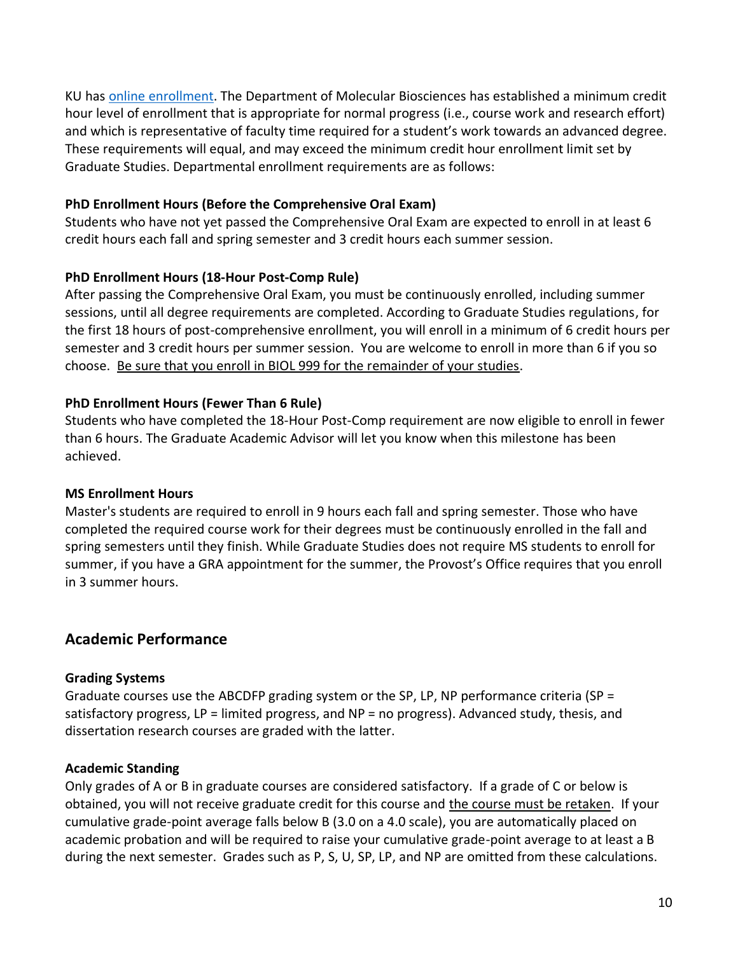KU has [online enrollment.](http://graduate.ku.edu/enrollment) The Department of Molecular Biosciences has established a minimum credit hour level of enrollment that is appropriate for normal progress (i.e., course work and research effort) and which is representative of faculty time required for a student's work towards an advanced degree. These requirements will equal, and may exceed the minimum credit hour enrollment limit set by Graduate Studies. Departmental enrollment requirements are as follows:

#### **PhD Enrollment Hours (Before the Comprehensive Oral Exam)**

Students who have not yet passed the Comprehensive Oral Exam are expected to enroll in at least 6 credit hours each fall and spring semester and 3 credit hours each summer session.

#### **PhD Enrollment Hours (18-Hour Post-Comp Rule)**

After passing the Comprehensive Oral Exam, you must be continuously enrolled, including summer sessions, until all degree requirements are completed. According to Graduate Studies regulations, for the first 18 hours of post-comprehensive enrollment, you will enroll in a minimum of 6 credit hours per semester and 3 credit hours per summer session. You are welcome to enroll in more than 6 if you so choose. Be sure that you enroll in BIOL 999 for the remainder of your studies.

#### **PhD Enrollment Hours (Fewer Than 6 Rule)**

Students who have completed the 18-Hour Post-Comp requirement are now eligible to enroll in fewer than 6 hours. The Graduate Academic Advisor will let you know when this milestone has been achieved.

#### **MS Enrollment Hours**

Master's students are required to enroll in 9 hours each fall and spring semester. Those who have completed the required course work for their degrees must be continuously enrolled in the fall and spring semesters until they finish. While Graduate Studies does not require MS students to enroll for summer, if you have a GRA appointment for the summer, the Provost's Office requires that you enroll in 3 summer hours.

## **Academic Performance**

#### **Grading Systems**

Graduate courses use the ABCDFP grading system or the SP, LP, NP performance criteria (SP = satisfactory progress, LP = limited progress, and NP = no progress). Advanced study, thesis, and dissertation research courses are graded with the latter.

#### **Academic Standing**

Only grades of A or B in graduate courses are considered satisfactory. If a grade of C or below is obtained, you will not receive graduate credit for this course and the course must be retaken. If your cumulative grade-point average falls below B (3.0 on a 4.0 scale), you are automatically placed on academic probation and will be required to raise your cumulative grade-point average to at least a B during the next semester. Grades such as P, S, U, SP, LP, and NP are omitted from these calculations.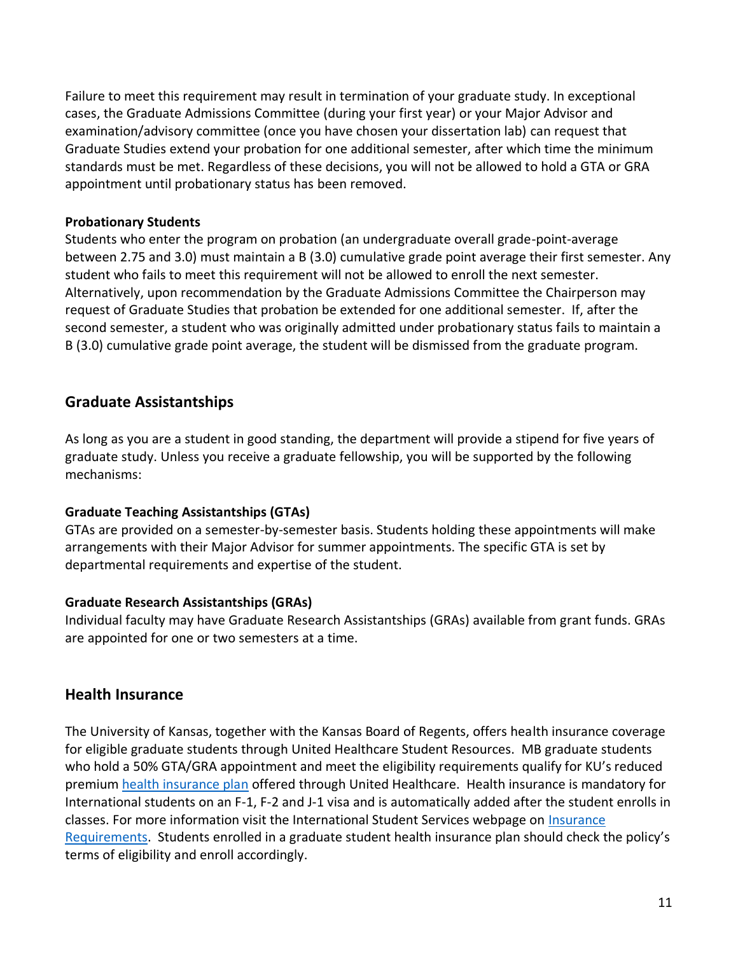Failure to meet this requirement may result in termination of your graduate study. In exceptional cases, the Graduate Admissions Committee (during your first year) or your Major Advisor and examination/advisory committee (once you have chosen your dissertation lab) can request that Graduate Studies extend your probation for one additional semester, after which time the minimum standards must be met. Regardless of these decisions, you will not be allowed to hold a GTA or GRA appointment until probationary status has been removed.

#### **Probationary Students**

Students who enter the program on probation (an undergraduate overall grade-point-average between 2.75 and 3.0) must maintain a B (3.0) cumulative grade point average their first semester. Any student who fails to meet this requirement will not be allowed to enroll the next semester. Alternatively, upon recommendation by the Graduate Admissions Committee the Chairperson may request of Graduate Studies that probation be extended for one additional semester. If, after the second semester, a student who was originally admitted under probationary status fails to maintain a B (3.0) cumulative grade point average, the student will be dismissed from the graduate program.

## **Graduate Assistantships**

As long as you are a student in good standing, the department will provide a stipend for five years of graduate study. Unless you receive a graduate fellowship, you will be supported by the following mechanisms:

#### **Graduate Teaching Assistantships (GTAs)**

GTAs are provided on a semester-by-semester basis. Students holding these appointments will make arrangements with their Major Advisor for summer appointments. The specific GTA is set by departmental requirements and expertise of the student.

#### **Graduate Research Assistantships (GRAs)**

Individual faculty may have Graduate Research Assistantships (GRAs) available from grant funds. GRAs are appointed for one or two semesters at a time.

## **Health Insurance**

The University of Kansas, together with the Kansas Board of Regents, offers health insurance coverage for eligible graduate students through United Healthcare Student Resources. MB graduate students who hold a 50% GTA/GRA appointment and meet the eligibility requirements qualify for KU's reduced premium [health insurance plan](https://humanresources.ku.edu/graduate-student-health-insurance) offered through United Healthcare. Health insurance is mandatory for International students on an F-1, F-2 and J-1 visa and is automatically added after the student enrolls in classes. For more information visit the International Student Services webpage on *Insurance* [Requirements](https://iss.ku.edu/insurance). Students enrolled in a graduate student health insurance plan should check the policy's terms of eligibility and enroll accordingly.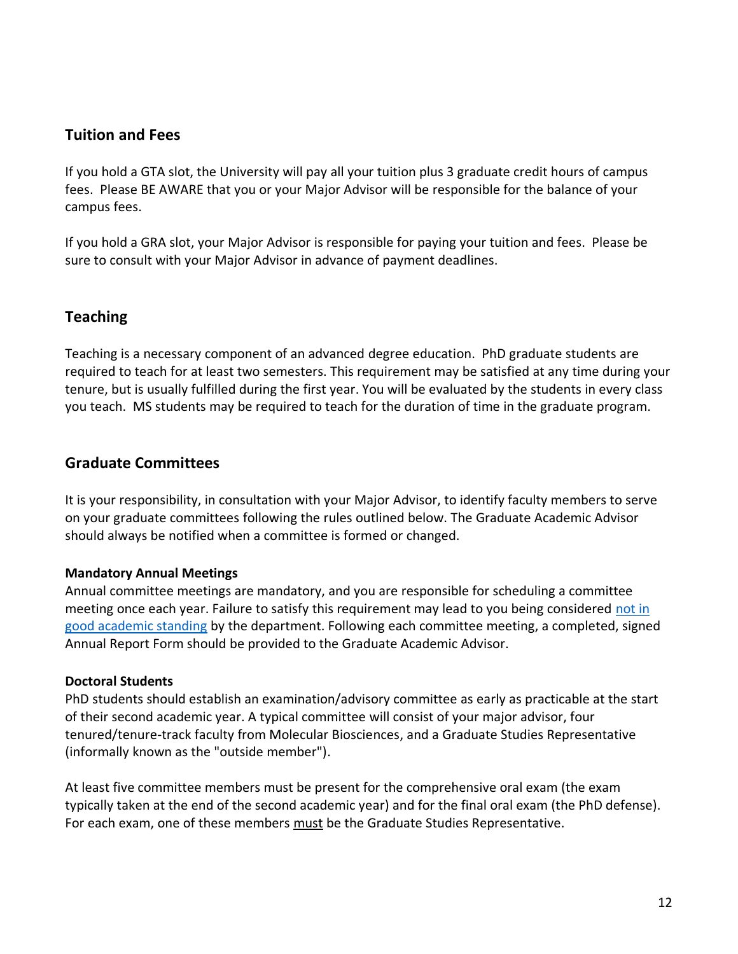## **Tuition and Fees**

If you hold a GTA slot, the University will pay all your tuition plus 3 graduate credit hours of campus fees. Please BE AWARE that you or your Major Advisor will be responsible for the balance of your campus fees.

If you hold a GRA slot, your Major Advisor is responsible for paying your tuition and fees. Please be sure to consult with your Major Advisor in advance of payment deadlines.

## **Teaching**

Teaching is a necessary component of an advanced degree education. PhD graduate students are required to teach for at least two semesters. This requirement may be satisfied at any time during your tenure, but is usually fulfilled during the first year. You will be evaluated by the students in every class you teach. MS students may be required to teach for the duration of time in the graduate program.

#### **Graduate Committees**

It is your responsibility, in consultation with your Major Advisor, to identify faculty members to serve on your graduate committees following the rules outlined below. The Graduate Academic Advisor should always be notified when a committee is formed or changed.

#### **Mandatory Annual Meetings**

Annual committee meetings are mandatory, and you are responsible for scheduling a committee meeting once each year. Failure to satisfy this requirement may lead to you being considered not in [good academic standing](https://policy.ku.edu/graduate-studies/good-academic-standing) by the department. Following each committee meeting, a completed, signed Annual Report Form should be provided to the Graduate Academic Advisor.

#### **Doctoral Students**

PhD students should establish an examination/advisory committee as early as practicable at the start of their second academic year. A typical committee will consist of your major advisor, four tenured/tenure-track faculty from Molecular Biosciences, and a Graduate Studies Representative (informally known as the "outside member").

At least five committee members must be present for the comprehensive oral exam (the exam typically taken at the end of the second academic year) and for the final oral exam (the PhD defense). For each exam, one of these members must be the Graduate Studies Representative.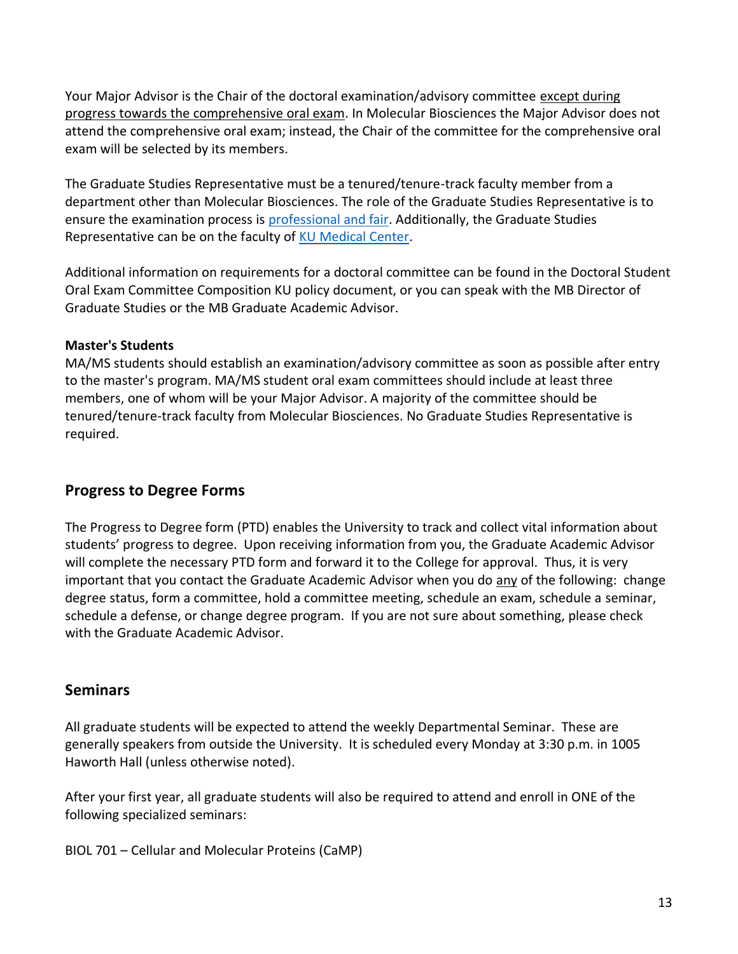Your Major Advisor is the Chair of the doctoral examination/advisory committee except during progress towards the comprehensive oral exam. In Molecular Biosciences the Major Advisor does not attend the comprehensive oral exam; instead, the Chair of the committee for the comprehensive oral exam will be selected by its members.

The Graduate Studies Representative must be a tenured/tenure-track faculty member from a department other than Molecular Biosciences. The role of the Graduate Studies Representative is to ensure the examination process is [professional and fair.](http://policy.ku.edu/graduate-studies/graduate-studies-representative-on-doctoral-exam-committees) Additionally, the Graduate Studies Representative can be on the faculty of [KU Medical Center.](https://policy.ku.edu/graduate-studies/graduate-faculty-appointments)

Additional information on requirements for a doctoral committee can be found in the Doctoral Student Oral Exam Committee Composition KU policy document, or you can speak with the MB Director of Graduate Studies or the MB Graduate Academic Advisor.

#### **Master's Students**

MA/MS students should establish an examination/advisory committee as soon as possible after entry to the master's program. MA/MS student oral exam committees should include at least three members, one of whom will be your Major Advisor. A majority of the committee should be tenured/tenure-track faculty from Molecular Biosciences. No Graduate Studies Representative is required.

## **Progress to Degree Forms**

The Progress to Degree form (PTD) enables the University to track and collect vital information about students' progress to degree. Upon receiving information from you, the Graduate Academic Advisor will complete the necessary PTD form and forward it to the College for approval. Thus, it is very important that you contact the Graduate Academic Advisor when you do any of the following: change degree status, form a committee, hold a committee meeting, schedule an exam, schedule a seminar, schedule a defense, or change degree program. If you are not sure about something, please check with the Graduate Academic Advisor.

## **Seminars**

All graduate students will be expected to attend the weekly Departmental Seminar. These are generally speakers from outside the University. It is scheduled every Monday at 3:30 p.m. in 1005 Haworth Hall (unless otherwise noted).

After your first year, all graduate students will also be required to attend and enroll in ONE of the following specialized seminars:

BIOL 701 – Cellular and Molecular Proteins (CaMP)